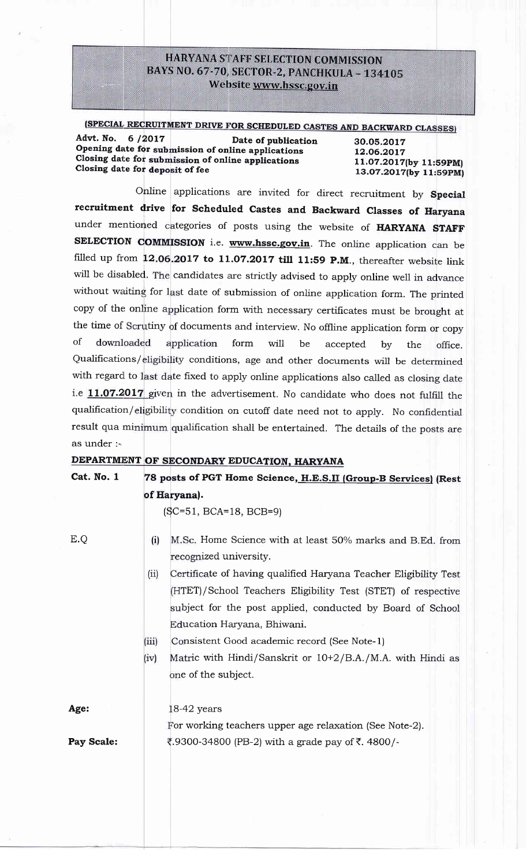# **HARYANA STAFF SELECTION COMMISSION** BAYS NO. 67-70, SECTOR-2, PANCHKULA - 134105 Website www.hssc.gov.in

(SPECIAL RECRUITMENT DRIVE FOR SCHEDULED CASTES AND BACKWARD CLASSES)

Advt. No. 6/2017 Date of publication Opening date for submission of online applications Closing date for submission of online applications Closing date for deposit of fee

30.05.2017 12.06.2017 11.07.2017(by 11:59PM) 13.07.2017(by 11:59PM)

Online applications are invited for direct recruitment by Special recruitment drive for Scheduled Castes and Backward Classes of Haryana under mentioned categories of posts using the website of HARYANA STAFF SELECTION COMMISSION i.e. www.hssc.gov.in. The online application can be filled up from 12.06.2017 to 11.07.2017 till 11:59 P.M., thereafter website link will be disabled. The candidates are strictly advised to apply online well in advance without waiting for last date of submission of online application form. The printed copy of the online application form with necessary certificates must be brought at the time of Scrutiny of documents and interview. No offline application form or copy  $\sigma$ f downloaded application form will be accepted  $bv$ the office. Qualifications/eligibility conditions, age and other documents will be determined with regard to last date fixed to apply online applications also called as closing date i.e 11.07.2017 given in the advertisement. No candidate who does not fulfill the qualification/eligibility condition on cutoff date need not to apply. No confidential result qua minimum qualification shall be entertained. The details of the posts are as under :-

# DEPARTMENT OF SECONDARY EDUCATION, HARYANA

| Cat. No. 1 | 78 posts of PGT Home Science, H.E.S.II (Group-B Services) (Rest                                                                                                                                                                                                                                                                                                                                                                                                    |  |  |  |
|------------|--------------------------------------------------------------------------------------------------------------------------------------------------------------------------------------------------------------------------------------------------------------------------------------------------------------------------------------------------------------------------------------------------------------------------------------------------------------------|--|--|--|
|            | of Haryana).                                                                                                                                                                                                                                                                                                                                                                                                                                                       |  |  |  |
|            | $(SC=51, BCA=18, BCB=9)$                                                                                                                                                                                                                                                                                                                                                                                                                                           |  |  |  |
| E.Q        | (i)<br>M.Sc. Home Science with at least 50% marks and B.Ed. from<br>recognized university.<br>(ii)<br>Certificate of having qualified Haryana Teacher Eligibility Test<br>(HTET)/School Teachers Eligibility Test (STET) of respective<br>subject for the post applied, conducted by Board of School<br>Education Haryana, Bhiwani.<br>(iii)<br>Consistent Good academic record (See Note-1)<br>(iv)<br>Matric with Hindi/Sanskrit or 10+2/B.A./M.A. with Hindi as |  |  |  |
|            | one of the subject.                                                                                                                                                                                                                                                                                                                                                                                                                                                |  |  |  |
| Age:       | $18-42$ years<br>For working teachers upper age relaxation (See Note-2).                                                                                                                                                                                                                                                                                                                                                                                           |  |  |  |
| Pay Scale: | ₹.9300-34800 (PB-2) with a grade pay of ₹. 4800/-                                                                                                                                                                                                                                                                                                                                                                                                                  |  |  |  |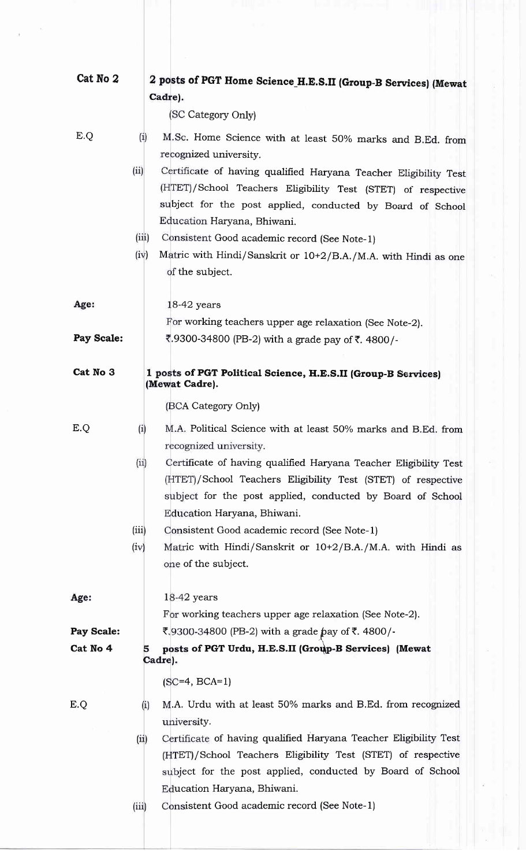| Cat No 2   |       | 2 posts of PGT Home Science_H.E.S.II (Group-B Services) (Mewat                                             |  |  |  |  |
|------------|-------|------------------------------------------------------------------------------------------------------------|--|--|--|--|
|            |       | Cadre).                                                                                                    |  |  |  |  |
|            |       | (SC Category Only)                                                                                         |  |  |  |  |
| E.Q        | (i)   | M.Sc. Home Science with at least 50% marks and B.Ed. from                                                  |  |  |  |  |
|            |       | recognized university.                                                                                     |  |  |  |  |
|            | (ii)  | Certificate of having qualified Haryana Teacher Eligibility Test                                           |  |  |  |  |
|            |       | (HTET)/School Teachers Eligibility Test (STET) of respective                                               |  |  |  |  |
|            |       | subject for the post applied, conducted by Board of School                                                 |  |  |  |  |
|            |       | Education Haryana, Bhiwani.                                                                                |  |  |  |  |
|            | (iii) | Consistent Good academic record (See Note-1)                                                               |  |  |  |  |
|            | (iv)  | Matric with Hindi/Sanskrit or 10+2/B.A./M.A. with Hindi as one<br>of the subject.                          |  |  |  |  |
|            |       |                                                                                                            |  |  |  |  |
| Age:       |       | 18-42 years                                                                                                |  |  |  |  |
|            |       | For working teachers upper age relaxation (See Note-2).                                                    |  |  |  |  |
| Pay Scale: |       | र.9300-34800 (PB-2) with a grade pay of ₹. 4800/-                                                          |  |  |  |  |
|            |       |                                                                                                            |  |  |  |  |
| Cat No 3   |       | 1 posts of PGT Political Science, H.E.S.II (Group-B Services)                                              |  |  |  |  |
|            |       | (Mewat Cadre).                                                                                             |  |  |  |  |
|            |       | (BCA Category Only)                                                                                        |  |  |  |  |
| E.Q        | (i)   | M.A. Political Science with at least 50% marks and B.Ed. from                                              |  |  |  |  |
|            |       | recognized university.                                                                                     |  |  |  |  |
|            | (ii)  | Certificate of having qualified Haryana Teacher Eligibility Test                                           |  |  |  |  |
|            |       | (HTET)/School Teachers Eligibility Test (STET) of respective                                               |  |  |  |  |
|            |       | subject for the post applied, conducted by Board of School                                                 |  |  |  |  |
|            | (iii) | Education Haryana, Bhiwani.                                                                                |  |  |  |  |
|            | (iv)  | Consistent Good academic record (See Note-1)<br>Matric with Hindi/Sanskrit or 10+2/B.A./M.A. with Hindi as |  |  |  |  |
|            |       | one of the subject.                                                                                        |  |  |  |  |
|            |       |                                                                                                            |  |  |  |  |
| Age:       |       | $18-42$ years                                                                                              |  |  |  |  |
|            |       | For working teachers upper age relaxation (See Note-2).                                                    |  |  |  |  |
| Pay Scale: |       | ₹,9300-34800 (PB-2) with a grade pay of ₹. 4800/-                                                          |  |  |  |  |
| Cat No 4   | 5     | posts of PGT Urdu, H.E.S.II (Group-B Services) (Mewat                                                      |  |  |  |  |
|            |       | Cadre).                                                                                                    |  |  |  |  |
|            |       | $(SC=4, BCA=1)$                                                                                            |  |  |  |  |
| E.Q        | (i)   | M.A. Urdu with at least 50% marks and B.Ed. from recognized                                                |  |  |  |  |
|            |       | university.                                                                                                |  |  |  |  |
|            | (ii)  | Certificate of having qualified Haryana Teacher Eligibility Test                                           |  |  |  |  |
|            |       | (HTET)/School Teachers Eligibility Test (STET) of respective                                               |  |  |  |  |
|            |       | subject for the post applied, conducted by Board of School                                                 |  |  |  |  |
|            | (iii) | Education Haryana, Bhiwani.<br>Consistent Good academic record (See Note-1)                                |  |  |  |  |
|            |       |                                                                                                            |  |  |  |  |
|            |       |                                                                                                            |  |  |  |  |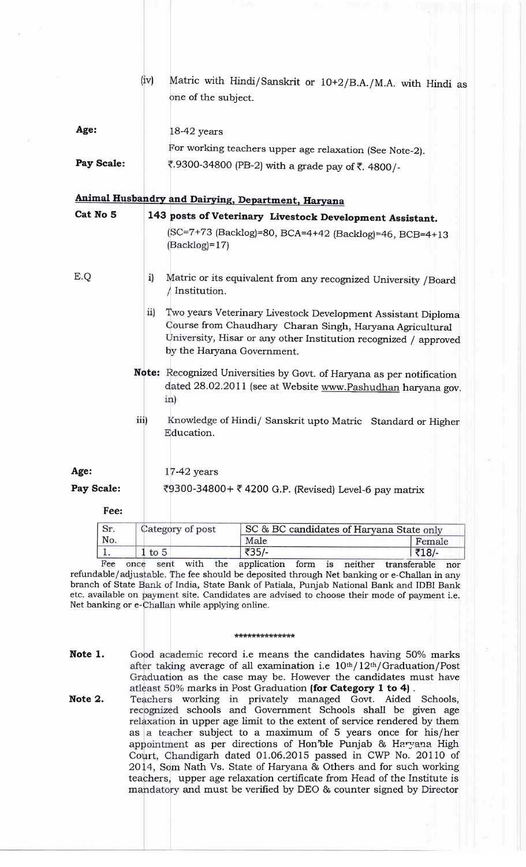|            |            | (iv) |                 |                            | Matric with Hindi/Sanskrit or 10+2/B.A./M.A. with Hindi as                                                                                                                                   |
|------------|------------|------|-----------------|----------------------------|----------------------------------------------------------------------------------------------------------------------------------------------------------------------------------------------|
|            |            |      |                 | one of the subject.        |                                                                                                                                                                                              |
|            |            |      |                 |                            |                                                                                                                                                                                              |
| Age:       |            |      |                 | 18-42 years                |                                                                                                                                                                                              |
|            |            |      |                 |                            | For working teachers upper age relaxation (See Note-2).                                                                                                                                      |
|            | Pay Scale: |      |                 |                            | ₹.9300-34800 (PB-2) with a grade pay of ₹. 4800/-                                                                                                                                            |
|            |            |      |                 |                            |                                                                                                                                                                                              |
|            |            |      |                 |                            | Animal Husbandry and Dairying, Department, Haryana                                                                                                                                           |
| Cat No 5   |            |      |                 |                            | 143 posts of Veterinary Livestock Development Assistant.                                                                                                                                     |
|            |            |      |                 | $(Backlog)=17$             | (SC=7+73 (Backlog)=80, BCA=4+42 (Backlog)=46, BCB=4+13                                                                                                                                       |
|            |            |      |                 |                            |                                                                                                                                                                                              |
| E.Q        |            |      | i)              | Institution.               | Matric or its equivalent from any recognized University /Board                                                                                                                               |
|            |            |      | $\overline{11}$ | by the Haryana Government. | Two years Veterinary Livestock Development Assistant Diploma<br>Course from Chaudhary Charan Singh, Haryana Agricultural<br>University, Hisar or any other Institution recognized / approved |
|            |            |      | in)             |                            | Note: Recognized Universities by Govt. of Haryana as per notification<br>dated 28.02.2011 (see at Website www.Pashudhan haryana gov.                                                         |
|            |            | iii) |                 | Education.                 | Knowledge of Hindi/ Sanskrit upto Matric Standard or Higher                                                                                                                                  |
| Age:       |            |      |                 | $17-42$ years              |                                                                                                                                                                                              |
| Pay Scale: |            |      |                 |                            | ₹9300-34800+ ₹4200 G.P. (Revised) Level-6 pay matrix                                                                                                                                         |
|            |            |      |                 |                            |                                                                                                                                                                                              |
|            | Fee:       |      |                 |                            |                                                                                                                                                                                              |
|            | Sr.        |      |                 | Category of post           | SC & BC candidates of Haryana State only                                                                                                                                                     |

No. Male Female 1. 1 to 5  $\frac{1}{25}$   $\frac{1}{25}$   $\frac{1}{25}$   $\frac{1}{218}$   $\frac{1}{218}$  once sent with the application form is neither transferable nor  $\overline{3}$ 35/- $\overline{3}$  $1$  to  $5$ Fee refundable/adjustable. The fee should be deposited through Net banking or e-Challan in any branch of State Bank of India, State Bank of Patiala, Punjab National Bank and IDBI Bank etc. available on payment site. Candidates are advised to choose their mode of payment i.e.

#### trtrtrtrt(tr\*\*\*\*\*\*\*\*

Net banking or e-Challan while applying online.

- Note 1. Good academic record i.e means the candidates having 50% marks after taking average of all examination i.e 10th/12th/Graduation/Post Graduation as the case may be. However the candidates must have atleast 50% marks in Post Graduation (for Category 1 to 4).
- as a teacher subject to a maximum of 5 years once for his/her appointment as per directions of Hon'ble Punjab & Haryana High Court, Chandigarh dated 01.06.2015 passed in CWP No. 20110 of 20 Nath Vs. State of Haryana & Others and for such working teachers, upper age relaxation certificate from Head of the Institute is mandatory and must be verified by DEO & counter signed by Director working in privately managed Govt. Aided Schools, schools and Government Schools shall be given age relaxation in upper age limit to the extent of service rendered by them Note 2.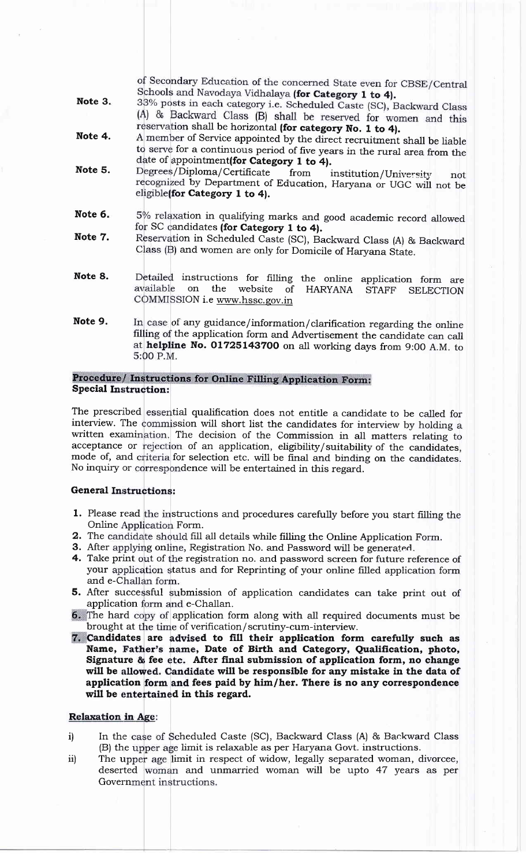of Secondary Education of the concerned State even for CBSE/Central Schools and Navodaya Vidhalaya (for Category 1 to 4).

- Note 3. 33% posts in each category i.e. Scheduled Caste (SC), Backward Class (A) & Backward Class (B) shall be reserved for women and this reservation shall be horizontal (for category No. 1 to 4).<br>A member of Service appointed by the direct recruitment shall be liable
- Note 4. date of appointment(for Category 1 to 4).<br>Degrees/Diploma/Certificate from i to serve for a continuous period of five years in the rural area from the
- Note 5. Degrees/Diploma/Certificate from institution/University not recognized by Department of Education, Haryana or UGC will not be eligible (for Category 1 to 4).
- Note 6. 5% relaxation in qualifying marks and good academic record allowed for SC candidates (for Category 1 to 4).
- Note 7. Reservation in Scheduled Caste (SC), Backward Class (A) & Backward Class (B) and women are only for Domicile of Haryana State.
- instructions for filling the online application form are Note 8. on the website of HARYANA STAFF SELECTION available COMMISSION i.e www.hssc.gov.in
- Note 9. In case of any guidance/information/clarification regarding the online filling of the application form and Advertisement the candidate can call at helpline No. 01725143700 on all working days from 9:00 A.M. to 5:00 P.M.

# Procedure/ Instructions for Online Filling Application Form:<br>Special Instruction:

The prescribed essential qualification does not entitle a candidate to be called for interview. The commission will short list the candidates for interview by holding a written examination. The decision of the Commission in all matters relating to acceptance or rejection of an application, eligibility/suitability of the candidates, mode of, and criteria for selection etc. will be final and binding on the candidates. No inquiry or correspondence will be entertained in this regard.

## General Instructions:

- 1. Please read the instructions and procedures carefully before you start filling the Online Application Form.
- $\, {\bf 2.} \,$  The candidate should fill all details while filling the Online Application Form.
- 3. After applying online, Registration No. and Password will be generated
- 4. Take print out of the registration no. and password screen for future reference of your application status and for Reprinting of your online filled application form and e-Challan form.
- application form and e-Challan 5. After successful submission of application candidates can take print out of
- 6. The hard copy of application form along with all required documents must be brought at the time of verification/scrutiny-cum-interview.
- andidates are advised to fill their application form carefully such as Name, Father's name, Date of Birth and Category, Qualification, photo, Signature & fee etc. After final submission of application form, no change will be allowed. Candidate will be responsible for any mistake in the data of application form and fees paid by him/her. There is no any correspondence will be entertained in this regard.

## **Relaxation in Age:**

- In the case of Scheduled Caste (SC), Backward Class (A) & Backward Class (B) the upper age limit is relaxable as per Haryana Govt. instructions. i)
- The upper age limit in respect of widow, legally separated woman, divorcee, deserted woman and unmarried woman will be upto 47 years as per ii) Government instructions.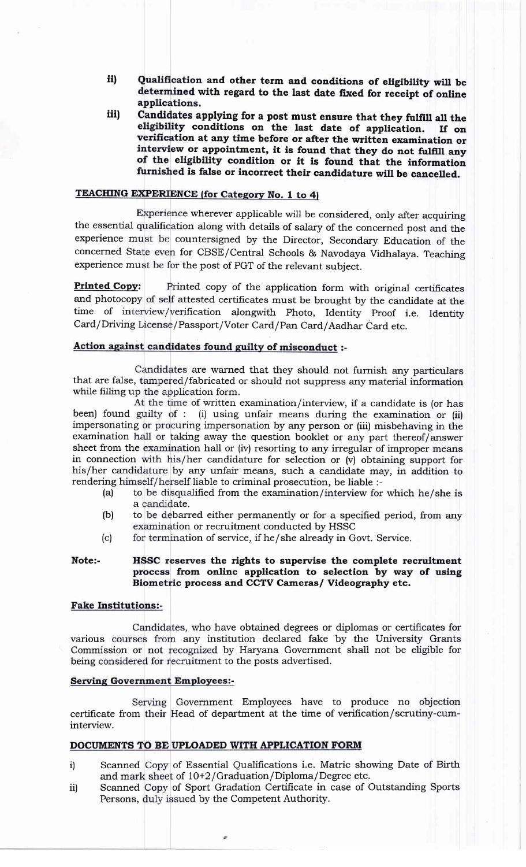- Qualification and other term and conditions of eligibility will be determined with regard to the last date fixed for receipt of online applications. iil
- Candidates applying for a post must ensure that they fulfill all the eligibility conditions on the last date of application. If on verification at any time before or after the written examination or interview or appointmen of the eligibility condition or it is found that the information furnished is false or incorrect their candidature will be cancelled. iiil

# **TEACHING EXPERIENCE (for Category No. 1 to 4)**

Experience wherever applicable will be considered, only after acquiring the essential qualification along with details of salary of the concerned post and the experience must be countersigned by the Director, Secondary Education of the concerned State even for CBSE/Central Schools & Navodaya Vidhalaya. Teaching experience must be for the post of PGT of the relevant subject

Printed Copv: and photocopy of self attested certificates must be brought by the candidate at the Printed copy of the application form with original certificates time of interview/verification alongwith Photo, Identity Proof i.e. Identity Card/Driving License/Passport/Voter Card/Pan Card/Aadhar Card etc.

## Action against candidates found guilty of misconduct :-

Candidates are warned that they should not furnish any particulars that are false, tampered/fabricated or should not suppress any material information while filling up the application form.

At the time of written examination/interview, if a candidate is (or has been) found guilty of : (i) using unfair means during the examination or (ii) impersonating or procuring impersonation by any person or (iii) misbehaving in the examination hall or taking away the question booklet or any part thereof/answer sheet from the examination hall or (iv) resorting to any irregular of improper means in connection with his/her candidature for selection or (v) obtaining support for his/her candidature by any unfair means, such a candidate may, in addition to rendering himself/herself liable to criminal prosecution, be liable :-

- (a) to be disqualified from the examination/interview for which he/she is a candidate.
- (b) to be debarred either permanently or for a specified period, from any examination or recruitment conducted by HSSC
- (c) for termination of service, if he/she already in Govt. Service.

#### Note:- HSSC reserves the rights to supervise the complete recruitment process from online application to selection by way of using Biometric process and CCTV Cameras/ Videography etc.

## **Fake Institutions:-**

various courses from any institution declared fake by the University Grants Commission or not recognized by Haryana Government shall not be eligible for being considered for recruitment to the posts advertised. Candidates, who have obtained degrees or diplomas or certificates for

### **Serving Government Employees:-**

certificate from their Head of department at the time of verification/scrutiny-cum interview. Serving Government Employees have to produce no objection

## DOCUMENTS TO BE UPLOADED WITH APPLICATION FORM

- Scanned Copy of Essential Qualifications i.e. Matric showing Date of Birth and mark sheet of  $10+2/Gr$  aduation/Diploma/Degree etc. i)
- Scanned Copy of Sport Gradation Certificate in case of Outstanding Sports Persons, duly issued by the Competent Authority. iil